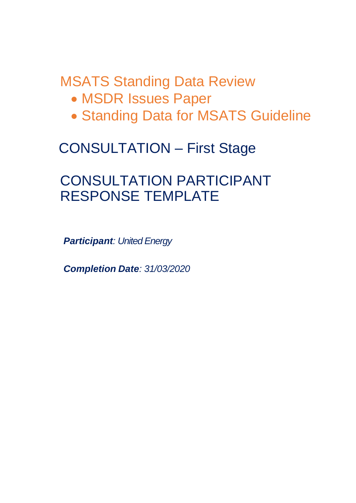MSATS Standing Data Review

- MSDR Issues Paper
- Standing Data for MSATS Guideline

# CONSULTATION – First Stage

# CONSULTATION PARTICIPANT RESPONSE TEMPLATE

*Participant: United Energy*

*Completion Date: 31/03/2020*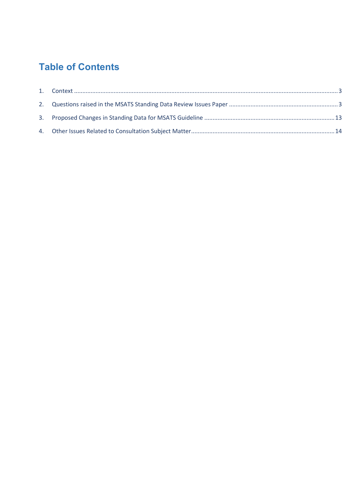# **Table of Contents**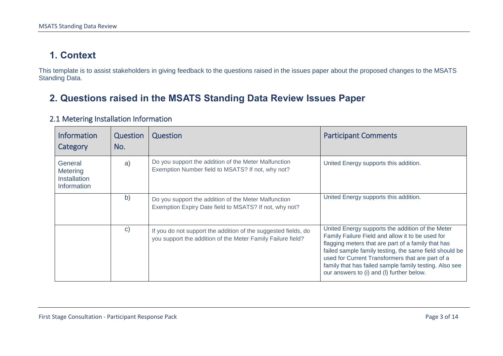## **1. Context**

This template is to assist stakeholders in giving feedback to the questions raised in the issues paper about the proposed changes to the MSATS Standing Data.

### **2. Questions raised in the MSATS Standing Data Review Issues Paper**

<span id="page-2-1"></span><span id="page-2-0"></span>

| <b>Information</b><br>Category                            | Question<br>No. | Question                                                                                                                      | <b>Participant Comments</b>                                                                                                                                                                                                                                                                                                                                                     |
|-----------------------------------------------------------|-----------------|-------------------------------------------------------------------------------------------------------------------------------|---------------------------------------------------------------------------------------------------------------------------------------------------------------------------------------------------------------------------------------------------------------------------------------------------------------------------------------------------------------------------------|
| General<br>Metering<br><b>Installation</b><br>Information | a)              | Do you support the addition of the Meter Malfunction<br>Exemption Number field to MSATS? If not, why not?                     | United Energy supports this addition.                                                                                                                                                                                                                                                                                                                                           |
|                                                           | b)              | Do you support the addition of the Meter Malfunction<br>Exemption Expiry Date field to MSATS? If not, why not?                | United Energy supports this addition.                                                                                                                                                                                                                                                                                                                                           |
|                                                           | $\mathbf{C}$    | If you do not support the addition of the suggested fields, do<br>you support the addition of the Meter Family Failure field? | United Energy supports the addition of the Meter<br>Family Failure Field and allow it to be used for<br>flagging meters that are part of a family that has<br>failed sample family testing, the same field should be<br>used for Current Transformers that are part of a<br>family that has failed sample family testing. Also see<br>our answers to (i) and (I) further below. |

#### 2.1 Metering Installation Information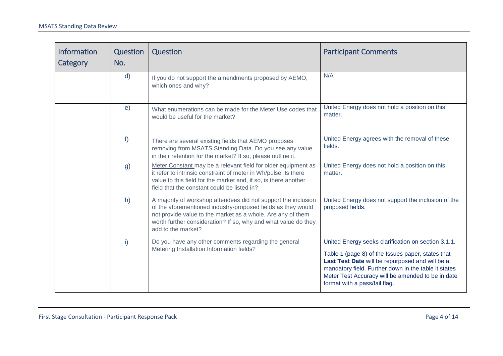| <b>Information</b><br>Category | Question<br>No. | Question                                                                                                                                                                                                                                                                              | <b>Participant Comments</b>                                                                                                                                                                                                                                                                               |
|--------------------------------|-----------------|---------------------------------------------------------------------------------------------------------------------------------------------------------------------------------------------------------------------------------------------------------------------------------------|-----------------------------------------------------------------------------------------------------------------------------------------------------------------------------------------------------------------------------------------------------------------------------------------------------------|
|                                | $\mathsf{d}$    | If you do not support the amendments proposed by AEMO,<br>which ones and why?                                                                                                                                                                                                         | N/A                                                                                                                                                                                                                                                                                                       |
|                                | e)              | What enumerations can be made for the Meter Use codes that<br>would be useful for the market?                                                                                                                                                                                         | United Energy does not hold a position on this<br>matter.                                                                                                                                                                                                                                                 |
|                                | f)              | There are several existing fields that AEMO proposes<br>removing from MSATS Standing Data. Do you see any value<br>in their retention for the market? If so, please outline it.                                                                                                       | United Energy agrees with the removal of these<br>fields.                                                                                                                                                                                                                                                 |
|                                | g)              | Meter Constant may be a relevant field for older equipment as<br>it refer to intrinsic constraint of meter in Wh/pulse. Is there<br>value to this field for the market and, if so, is there another<br>field that the constant could be listed in?                                    | United Energy does not hold a position on this<br>matter.                                                                                                                                                                                                                                                 |
|                                | h)              | A majority of workshop attendees did not support the inclusion<br>of the aforementioned industry-proposed fields as they would<br>not provide value to the market as a whole. Are any of them<br>worth further consideration? If so, why and what value do they<br>add to the market? | United Energy does not support the inclusion of the<br>proposed fields.                                                                                                                                                                                                                                   |
|                                | i)              | Do you have any other comments regarding the general<br>Metering Installation Information fields?                                                                                                                                                                                     | United Energy seeks clarification on section 3.1.1.<br>Table 1 (page 8) of the Issues paper, states that<br>Last Test Date will be repurposed and will be a<br>mandatory field. Further down in the table it states<br>Meter Test Accuracy will be amended to be in date<br>format with a pass/fail flag. |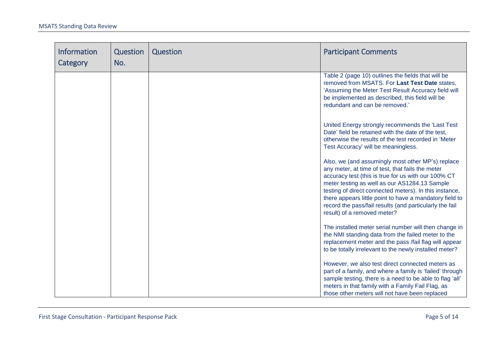| <b>Information</b><br>Category | Question<br>No. | Question | <b>Participant Comments</b>                                                                                                                                                                                                                                                                                                                                                                                                  |
|--------------------------------|-----------------|----------|------------------------------------------------------------------------------------------------------------------------------------------------------------------------------------------------------------------------------------------------------------------------------------------------------------------------------------------------------------------------------------------------------------------------------|
|                                |                 |          | Table 2 (page 10) outlines the fields that will be<br>removed from MSATS. For Last Test Date states.<br>'Assuming the Meter Test Result Accuracy field will<br>be implemented as described, this field will be<br>redundant and can be removed.'                                                                                                                                                                             |
|                                |                 |          | United Energy strongly recommends the 'Last Test<br>Date' field be retained with the date of the test,<br>otherwise the results of the test recorded in 'Meter<br>Test Accuracy' will be meaningless.                                                                                                                                                                                                                        |
|                                |                 |          | Also, we (and assumingly most other MP's) replace<br>any meter, at time of test, that fails the meter<br>accuracy test (this is true for us with our 100% CT<br>meter testing as well as our AS1284.13 Sample<br>testing of direct connected meters). In this instance,<br>there appears little point to have a mandatory field to<br>record the pass/fail results (and particularly the fail<br>result) of a removed meter? |
|                                |                 |          | The installed meter serial number will then change in<br>the NMI standing data from the failed meter to the<br>replacement meter and the pass /fail flag will appear<br>to be totally irrelevant to the newly installed meter?                                                                                                                                                                                               |
|                                |                 |          | However, we also test direct connected meters as<br>part of a family, and where a family is 'failed' through<br>sample testing, there is a need to be able to flag 'all'<br>meters in that family with a Family Fail Flag, as<br>those other meters will not have been replaced                                                                                                                                              |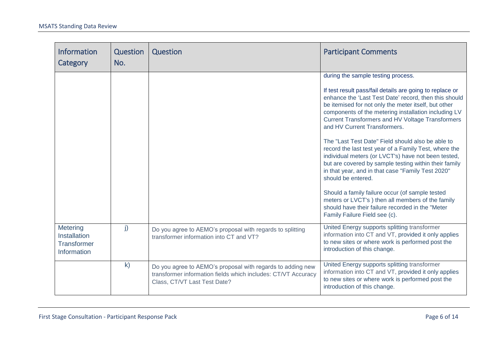| Information<br>Category                                | Question<br>No. | Question                                                                                                                                                    | <b>Participant Comments</b>                                                                                                                                                                                                                                                                                                                                                                                                                                                                                                                                                                                                                                                                                                                                                                                                                                             |
|--------------------------------------------------------|-----------------|-------------------------------------------------------------------------------------------------------------------------------------------------------------|-------------------------------------------------------------------------------------------------------------------------------------------------------------------------------------------------------------------------------------------------------------------------------------------------------------------------------------------------------------------------------------------------------------------------------------------------------------------------------------------------------------------------------------------------------------------------------------------------------------------------------------------------------------------------------------------------------------------------------------------------------------------------------------------------------------------------------------------------------------------------|
|                                                        |                 |                                                                                                                                                             | during the sample testing process.<br>If test result pass/fail details are going to replace or<br>enhance the 'Last Test Date' record, then this should<br>be itemised for not only the meter itself, but other<br>components of the metering installation including LV<br><b>Current Transformers and HV Voltage Transformers</b><br>and HV Current Transformers.<br>The "Last Test Date" Field should also be able to<br>record the last test year of a Family Test, where the<br>individual meters (or LVCT's) have not been tested,<br>but are covered by sample testing within their family<br>in that year, and in that case "Family Test 2020"<br>should be entered.<br>Should a family failure occur (of sample tested<br>meters or LVCT's) then all members of the family<br>should have their failure recorded in the "Meter<br>Family Failure Field see (c). |
| Metering<br>Installation<br>Transformer<br>Information | j)              | Do you agree to AEMO's proposal with regards to splitting<br>transformer information into CT and VT?                                                        | United Energy supports splitting transformer<br>information into CT and VT, provided it only applies<br>to new sites or where work is performed post the<br>introduction of this change.                                                                                                                                                                                                                                                                                                                                                                                                                                                                                                                                                                                                                                                                                |
|                                                        | $\mathsf{k}$    | Do you agree to AEMO's proposal with regards to adding new<br>transformer information fields which includes: CT/VT Accuracy<br>Class, CT/VT Last Test Date? | United Energy supports splitting transformer<br>information into CT and VT, provided it only applies<br>to new sites or where work is performed post the<br>introduction of this change.                                                                                                                                                                                                                                                                                                                                                                                                                                                                                                                                                                                                                                                                                |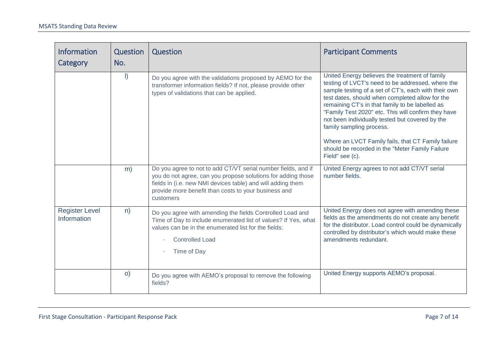| <b>Information</b><br>Category       | Question<br>No. | Question                                                                                                                                                                                                                                                          | <b>Participant Comments</b>                                                                                                                                                                                                                                                                                                                                                                                                                                                                                                         |
|--------------------------------------|-----------------|-------------------------------------------------------------------------------------------------------------------------------------------------------------------------------------------------------------------------------------------------------------------|-------------------------------------------------------------------------------------------------------------------------------------------------------------------------------------------------------------------------------------------------------------------------------------------------------------------------------------------------------------------------------------------------------------------------------------------------------------------------------------------------------------------------------------|
|                                      | $\vert$         | Do you agree with the validations proposed by AEMO for the<br>transformer information fields? If not, please provide other<br>types of validations that can be applied.                                                                                           | United Energy believes the treatment of family<br>testing of LVCT's need to be addressed, where the<br>sample testing of a set of CT's, each with their own<br>test dates, should when completed allow for the<br>remaining CT's in that family to be labelled as<br>"Family Test 2020" etc. This will confirm they have<br>not been individually tested but covered by the<br>family sampling process.<br>Where an LVCT Family fails, that CT Family failure<br>should be recorded in the "Meter Family Failure<br>Field" see (c). |
|                                      | m)              | Do you agree to not to add CT/VT serial number fields, and if<br>you do not agree, can you propose solutions for adding those<br>fields in (i.e. new NMI devices table) and will adding them<br>provide more benefit than costs to your business and<br>customers | United Energy agrees to not add CT/VT serial<br>number fields.                                                                                                                                                                                                                                                                                                                                                                                                                                                                      |
| <b>Register Level</b><br>Information | n)              | Do you agree with amending the fields Controlled Load and<br>Time of Day to include enumerated list of values? If Yes, what<br>values can be in the enumerated list for the fields:<br><b>Controlled Load</b><br>Time of Day                                      | United Energy does not agree with amending these<br>fields as the amendments do not create any benefit<br>for the distributor. Load control could be dynamically<br>controlled by distributor's which would make these<br>amendments redundant.                                                                                                                                                                                                                                                                                     |
|                                      | $\circ)$        | Do you agree with AEMO's proposal to remove the following<br>fields?                                                                                                                                                                                              | United Energy supports AEMO's proposal.                                                                                                                                                                                                                                                                                                                                                                                                                                                                                             |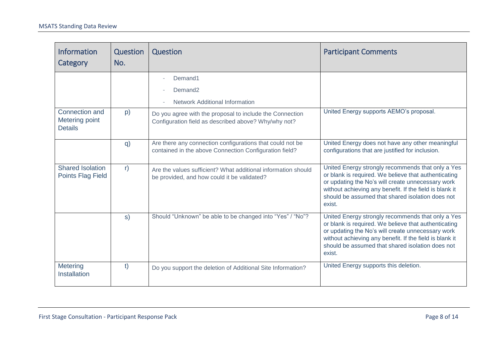| Information<br>Category                             | Question<br>No. | Question                                                                                                            | <b>Participant Comments</b>                                                                                                                                                                                                                                                             |
|-----------------------------------------------------|-----------------|---------------------------------------------------------------------------------------------------------------------|-----------------------------------------------------------------------------------------------------------------------------------------------------------------------------------------------------------------------------------------------------------------------------------------|
|                                                     |                 | Demand1<br>Demand <sub>2</sub><br><b>Network Additional Information</b>                                             |                                                                                                                                                                                                                                                                                         |
| Connection and<br>Metering point<br><b>Details</b>  | p)              | Do you agree with the proposal to include the Connection<br>Configuration field as described above? Why/why not?    | United Energy supports AEMO's proposal.                                                                                                                                                                                                                                                 |
|                                                     | q)              | Are there any connection configurations that could not be<br>contained in the above Connection Configuration field? | United Energy does not have any other meaningful<br>configurations that are justified for inclusion.                                                                                                                                                                                    |
| <b>Shared Isolation</b><br><b>Points Flag Field</b> | r)              | Are the values sufficient? What additional information should<br>be provided, and how could it be validated?        | United Energy strongly recommends that only a Yes<br>or blank is required. We believe that authenticating<br>or updating the No's will create unnecessary work<br>without achieving any benefit. If the field is blank it<br>should be assumed that shared isolation does not<br>exist. |
|                                                     | s)              | Should "Unknown" be able to be changed into "Yes" / "No"?                                                           | United Energy strongly recommends that only a Yes<br>or blank is required. We believe that authenticating<br>or updating the No's will create unnecessary work<br>without achieving any benefit. If the field is blank it<br>should be assumed that shared isolation does not<br>exist. |
| Metering<br>Installation                            | t)              | Do you support the deletion of Additional Site Information?                                                         | United Energy supports this deletion.                                                                                                                                                                                                                                                   |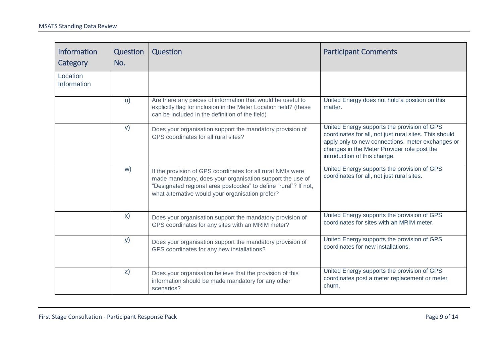| Information<br>Category | Question<br>No. | Question                                                                                                                                                                                                                                        | <b>Participant Comments</b>                                                                                                                                                                                                               |
|-------------------------|-----------------|-------------------------------------------------------------------------------------------------------------------------------------------------------------------------------------------------------------------------------------------------|-------------------------------------------------------------------------------------------------------------------------------------------------------------------------------------------------------------------------------------------|
| Location<br>Information |                 |                                                                                                                                                                                                                                                 |                                                                                                                                                                                                                                           |
|                         | u)              | Are there any pieces of information that would be useful to<br>explicitly flag for inclusion in the Meter Location field? (these<br>can be included in the definition of the field)                                                             | United Energy does not hold a position on this<br>matter.                                                                                                                                                                                 |
|                         | V)              | Does your organisation support the mandatory provision of<br>GPS coordinates for all rural sites?                                                                                                                                               | United Energy supports the provision of GPS<br>coordinates for all, not just rural sites. This should<br>apply only to new connections, meter exchanges or<br>changes in the Meter Provider role post the<br>introduction of this change. |
|                         | W)              | If the provision of GPS coordinates for all rural NMIs were<br>made mandatory, does your organisation support the use of<br>"Designated regional area postcodes" to define "rural"? If not,<br>what alternative would your organisation prefer? | United Energy supports the provision of GPS<br>coordinates for all, not just rural sites.                                                                                                                                                 |
|                         | $\mathsf{x})$   | Does your organisation support the mandatory provision of<br>GPS coordinates for any sites with an MRIM meter?                                                                                                                                  | United Energy supports the provision of GPS<br>coordinates for sites with an MRIM meter.                                                                                                                                                  |
|                         | <b>y</b> )      | Does your organisation support the mandatory provision of<br>GPS coordinates for any new installations?                                                                                                                                         | United Energy supports the provision of GPS<br>coordinates for new installations.                                                                                                                                                         |
|                         | Z)              | Does your organisation believe that the provision of this<br>information should be made mandatory for any other<br>scenarios?                                                                                                                   | United Energy supports the provision of GPS<br>coordinates post a meter replacement or meter<br>churn.                                                                                                                                    |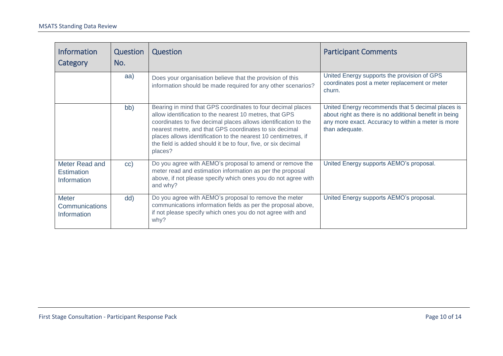| <b>Information</b><br>Category                       | Question<br>No. | Question                                                                                                                                                                                                                                                                                                                                                                                          | <b>Participant Comments</b>                                                                                                                                                         |
|------------------------------------------------------|-----------------|---------------------------------------------------------------------------------------------------------------------------------------------------------------------------------------------------------------------------------------------------------------------------------------------------------------------------------------------------------------------------------------------------|-------------------------------------------------------------------------------------------------------------------------------------------------------------------------------------|
|                                                      | aa)             | Does your organisation believe that the provision of this<br>information should be made required for any other scenarios?                                                                                                                                                                                                                                                                         | United Energy supports the provision of GPS<br>coordinates post a meter replacement or meter<br>churn.                                                                              |
|                                                      | bb)             | Bearing in mind that GPS coordinates to four decimal places<br>allow identification to the nearest 10 metres, that GPS<br>coordinates to five decimal places allows identification to the<br>nearest metre, and that GPS coordinates to six decimal<br>places allows identification to the nearest 10 centimetres, if<br>the field is added should it be to four, five, or six decimal<br>places? | United Energy recommends that 5 decimal places is<br>about right as there is no additional benefit in being<br>any more exact. Accuracy to within a meter is more<br>than adequate. |
| Meter Read and<br><b>Estimation</b><br>Information   | cc)             | Do you agree with AEMO's proposal to amend or remove the<br>meter read and estimation information as per the proposal<br>above, if not please specify which ones you do not agree with<br>and why?                                                                                                                                                                                                | United Energy supports AEMO's proposal.                                                                                                                                             |
| <b>Meter</b><br><b>Communications</b><br>Information | dd)             | Do you agree with AEMO's proposal to remove the meter<br>communications information fields as per the proposal above,<br>if not please specify which ones you do not agree with and<br>why?                                                                                                                                                                                                       | United Energy supports AEMO's proposal.                                                                                                                                             |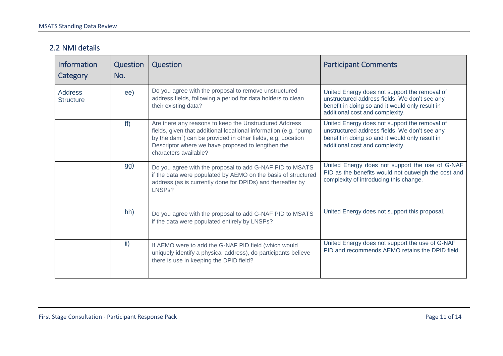#### 2.2 NMI details

| <b>Information</b><br>Category     | Question<br>No. | Question                                                                                                                                                                                                                                                                | <b>Participant Comments</b>                                                                                                                                                          |
|------------------------------------|-----------------|-------------------------------------------------------------------------------------------------------------------------------------------------------------------------------------------------------------------------------------------------------------------------|--------------------------------------------------------------------------------------------------------------------------------------------------------------------------------------|
| <b>Address</b><br><b>Structure</b> | ee)             | Do you agree with the proposal to remove unstructured<br>address fields, following a period for data holders to clean<br>their existing data?                                                                                                                           | United Energy does not support the removal of<br>unstructured address fields. We don't see any<br>benefit in doing so and it would only result in<br>additional cost and complexity. |
|                                    | ff)             | Are there any reasons to keep the Unstructured Address<br>fields, given that additional locational information (e.g. "pump<br>by the dam") can be provided in other fields, e.g. Location<br>Descriptor where we have proposed to lengthen the<br>characters available? | United Energy does not support the removal of<br>unstructured address fields. We don't see any<br>benefit in doing so and it would only result in<br>additional cost and complexity. |
|                                    | gg)             | Do you agree with the proposal to add G-NAF PID to MSATS<br>if the data were populated by AEMO on the basis of structured<br>address (as is currently done for DPIDs) and thereafter by<br>LNSP <sub>s</sub> ?                                                          | United Energy does not support the use of G-NAF<br>PID as the benefits would not outweigh the cost and<br>complexity of introducing this change.                                     |
|                                    | hh)             | Do you agree with the proposal to add G-NAF PID to MSATS<br>if the data were populated entirely by LNSPs?                                                                                                                                                               | United Energy does not support this proposal.                                                                                                                                        |
|                                    | $\mathsf{ii}$   | If AEMO were to add the G-NAF PID field (which would<br>uniquely identify a physical address), do participants believe<br>there is use in keeping the DPID field?                                                                                                       | United Energy does not support the use of G-NAF<br>PID and recommends AEMO retains the DPID field.                                                                                   |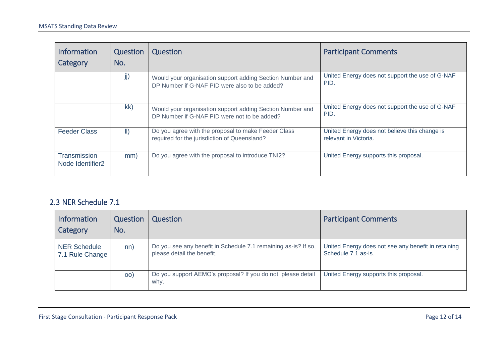| <b>Information</b><br>Category               | Question<br>No. | Question                                                                                                   | <b>Participant Comments</b>                                            |
|----------------------------------------------|-----------------|------------------------------------------------------------------------------------------------------------|------------------------------------------------------------------------|
|                                              | jj)             | Would your organisation support adding Section Number and<br>DP Number if G-NAF PID were also to be added? | United Energy does not support the use of G-NAF<br>PID.                |
|                                              | kk)             | Would your organisation support adding Section Number and<br>DP Number if G-NAF PID were not to be added?  | United Energy does not support the use of G-NAF<br>PID.                |
| <b>Feeder Class</b>                          | $\parallel$ )   | Do you agree with the proposal to make Feeder Class<br>required for the jurisdiction of Queensland?        | United Energy does not believe this change is<br>relevant in Victoria. |
| Transmission<br>Node Identifier <sub>2</sub> | mm)             | Do you agree with the proposal to introduce TNI2?                                                          | United Energy supports this proposal.                                  |

#### 2.3 NER Schedule 7.1

| <b>Information</b><br>Category         | Question<br>No. | Question                                                                                     | <b>Participant Comments</b>                                                |
|----------------------------------------|-----------------|----------------------------------------------------------------------------------------------|----------------------------------------------------------------------------|
| <b>NER Schedule</b><br>7.1 Rule Change | nn)             | Do you see any benefit in Schedule 7.1 remaining as-is? If so,<br>please detail the benefit. | United Energy does not see any benefit in retaining<br>Schedule 7.1 as-is. |
|                                        | $ 00\rangle$    | Do you support AEMO's proposal? If you do not, please detail<br>why.                         | United Energy supports this proposal.                                      |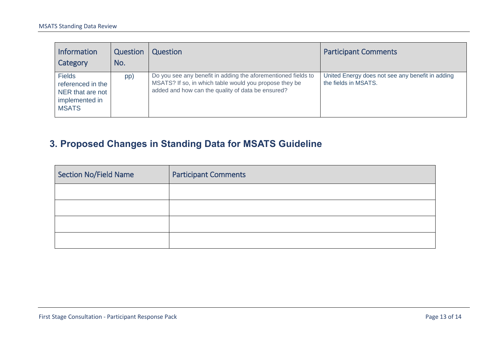| <b>Information</b><br>Category                                                           | Question<br>No. | Question                                                                                                                                                                     | <b>Participant Comments</b>                                              |
|------------------------------------------------------------------------------------------|-----------------|------------------------------------------------------------------------------------------------------------------------------------------------------------------------------|--------------------------------------------------------------------------|
| <b>Fields</b><br>referenced in the<br>NER that are not<br>implemented in<br><b>MSATS</b> | pp)             | Do you see any benefit in adding the aforementioned fields to<br>MSATS? If so, in which table would you propose they be<br>added and how can the quality of data be ensured? | United Energy does not see any benefit in adding<br>the fields in MSATS. |

# **3. Proposed Changes in Standing Data for MSATS Guideline**

<span id="page-12-0"></span>

| Section No/Field Name | <b>Participant Comments</b> |
|-----------------------|-----------------------------|
|                       |                             |
|                       |                             |
|                       |                             |
|                       |                             |